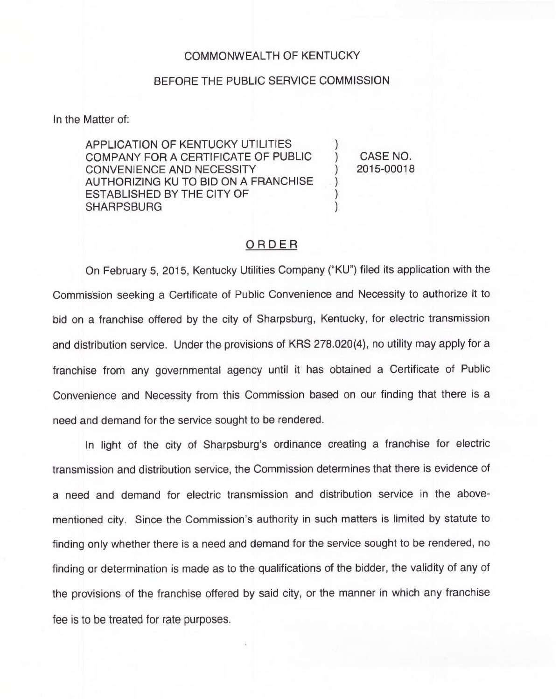## COMMONWEALTH OF KENTUCKY

## BEFORE THE PUBLIC SERVICE COMMISSION

In the Matter of:

APPLICATION OF KENTUCKY UTILITIES COMPANY FOR A CERTIFICATE OF PUBLIC CONVENIENCE AND NECESSITY AUTHORIZING KU TO BID ON A FRANCHISE ESTABLISHED BY THE CITY OF **SHARPSBURG** 

) CASE NO. ) 2015-00018

 $\overline{\phantom{a}}$ 

) ) )

## ORDER

On February 5, 2015, Kentucky Utilities Company ("KU") filed its application with the Commission seeking a Certificate of Public Convenience and Necessity to authorize it to bid on a franchise offered by the city of Sharpsburg, Kentucky, for electric transmission and distribution service. Under the provisions of KRS 278.020(4), no utility may apply for a franchise from any governmental agency until it has obtained a Certificate of Public Convenience and Necessity from this Commission based on our finding that there is a need and demand for the service sought to be rendered.

In light of the city of Sharpsburg's ordinance creating a franchise for electric transmission and distribution service, the Commission determines that there is evidence of a need and demand for electric transmission and distribution service in the abovementioned city. Since the Commission's authority in such matters is limited by statute to finding only whether there is a need and demand for the service sought to be rendered, no finding or determination is made as to the qualifications of the bidder, the validity of any of the provisions of the franchise offered by said city, or the manner in which any franchise fee is to be treated for rate purposes.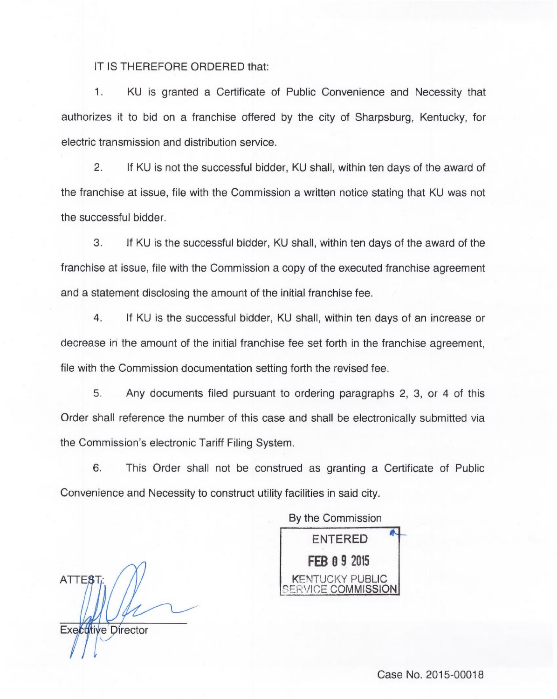## IT IS THEREFORE ORDERED that:

 $1.$ KU is granted a Certificate of Public Convenience and Necessity that authorizes it to bid on a franchise offered by the city of Sharpsburg, Kentucky, for electric transmission and distribution service.

2. If KU is not the successful bidder, KU shall, within ten days of the award of the franchise at issue, file with the Commission a written notice stating that KU was not the successful bidder.

3. If KU is the successful bidder, KU shall, within ten days of the award of the franchise at issue, file with the Commission a copy of the executed franchise agreement and a statement disclosing the amount of the initial franchise fee.

4. If KU is the successful bidder, KU shall, within ten days of an increase or decrease in the amount of the initial franchise fee set forth in the franchise agreement, file with the Commission documentation setting forth the revised fee.

5. Any documents filed pursuant to ordering paragraphs 2, 3, or 4 of this Order shall reference the number of this case and shall be electronically submitted via the Commission's electronic Tariff Filing System.

6. This Order shall not be construed as granting a Certificate of Public Convenience and Necessity to construct utility facilities in said city.

By the Commission

ATTEST Executive Director

ENTERED **FEB 0 9 2015** KENTUCKY PUBLIC *ICE COMMISSION* 

Case No. 2015-00018